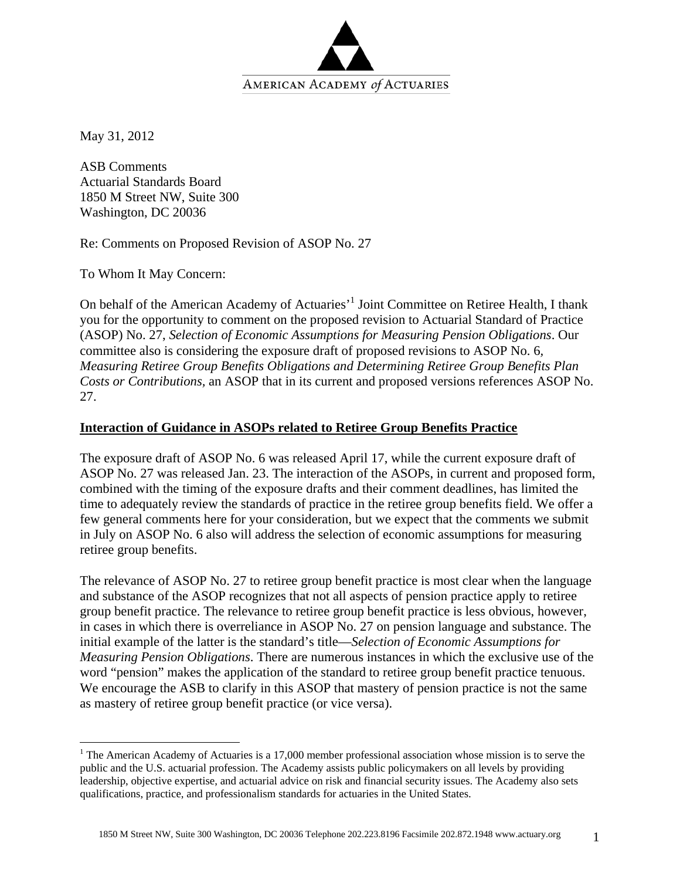

May 31, 2012

<u>.</u>

ASB Comments Actuarial Standards Board 1850 M Street NW, Suite 300 Washington, DC 20036

Re: Comments on Proposed Revision of ASOP No. 27

To Whom It May Concern:

On behalf of the American Academy of Actuaries<sup>, 1</sup> Joint Committee on Retiree Health, I thank you for the opportunity to comment on the proposed revision to Actuarial Standard of Practice (ASOP) No. 27, *Selection of Economic Assumptions for Measuring Pension Obligations*. Our committee also is considering the exposure draft of proposed revisions to ASOP No. 6*, Measuring Retiree Group Benefits Obligations and Determining Retiree Group Benefits Plan Costs or Contributions,* an ASOP that in its current and proposed versions references ASOP No. 27.

## **Interaction of Guidance in ASOPs related to Retiree Group Benefits Practice**

The exposure draft of ASOP No. 6 was released April 17, while the current exposure draft of ASOP No. 27 was released Jan. 23. The interaction of the ASOPs, in current and proposed form, combined with the timing of the exposure drafts and their comment deadlines, has limited the time to adequately review the standards of practice in the retiree group benefits field. We offer a few general comments here for your consideration, but we expect that the comments we submit in July on ASOP No. 6 also will address the selection of economic assumptions for measuring retiree group benefits.

The relevance of ASOP No. 27 to retiree group benefit practice is most clear when the language and substance of the ASOP recognizes that not all aspects of pension practice apply to retiree group benefit practice. The relevance to retiree group benefit practice is less obvious, however, in cases in which there is overreliance in ASOP No. 27 on pension language and substance. The initial example of the latter is the standard's title—*Selection of Economic Assumptions for Measuring Pension Obligations*. There are numerous instances in which the exclusive use of the word "pension" makes the application of the standard to retiree group benefit practice tenuous. We encourage the ASB to clarify in this ASOP that mastery of pension practice is not the same as mastery of retiree group benefit practice (or vice versa).

<sup>&</sup>lt;sup>1</sup> The American Academy of Actuaries is a 17,000 member professional association whose mission is to serve the public and the U.S. actuarial profession. The Academy assists public policymakers on all levels by providing leadership, objective expertise, and actuarial advice on risk and financial security issues. The Academy also sets qualifications, practice, and professionalism standards for actuaries in the United States.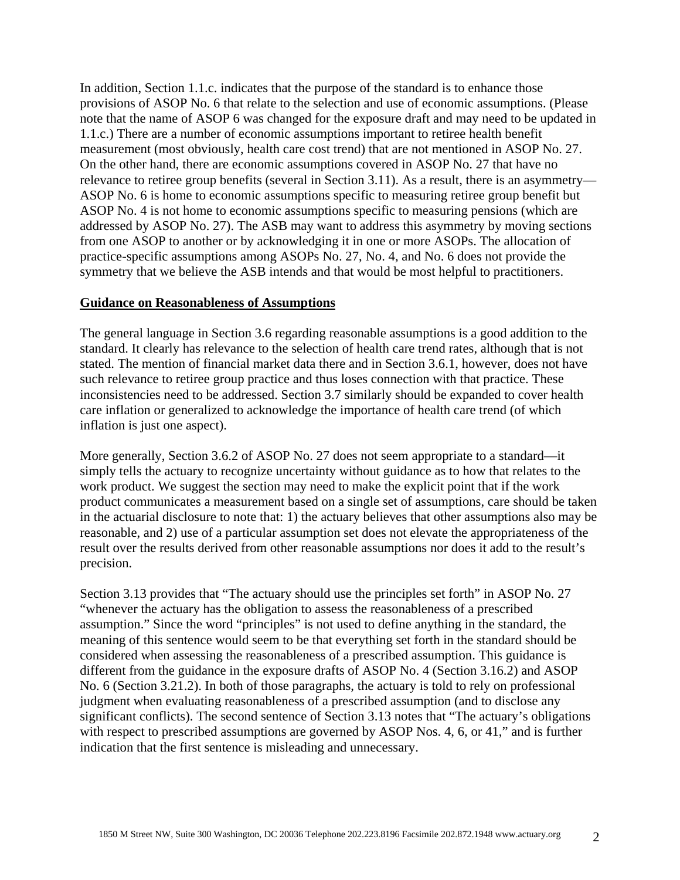In addition, Section 1.1.c. indicates that the purpose of the standard is to enhance those provisions of ASOP No. 6 that relate to the selection and use of economic assumptions. (Please note that the name of ASOP 6 was changed for the exposure draft and may need to be updated in 1.1.c.) There are a number of economic assumptions important to retiree health benefit measurement (most obviously, health care cost trend) that are not mentioned in ASOP No. 27. On the other hand, there are economic assumptions covered in ASOP No. 27 that have no relevance to retiree group benefits (several in Section 3.11). As a result, there is an asymmetry— ASOP No. 6 is home to economic assumptions specific to measuring retiree group benefit but ASOP No. 4 is not home to economic assumptions specific to measuring pensions (which are addressed by ASOP No. 27). The ASB may want to address this asymmetry by moving sections from one ASOP to another or by acknowledging it in one or more ASOPs. The allocation of practice-specific assumptions among ASOPs No. 27, No. 4, and No. 6 does not provide the symmetry that we believe the ASB intends and that would be most helpful to practitioners.

## **Guidance on Reasonableness of Assumptions**

The general language in Section 3.6 regarding reasonable assumptions is a good addition to the standard. It clearly has relevance to the selection of health care trend rates, although that is not stated. The mention of financial market data there and in Section 3.6.1, however, does not have such relevance to retiree group practice and thus loses connection with that practice. These inconsistencies need to be addressed. Section 3.7 similarly should be expanded to cover health care inflation or generalized to acknowledge the importance of health care trend (of which inflation is just one aspect).

More generally, Section 3.6.2 of ASOP No. 27 does not seem appropriate to a standard—it simply tells the actuary to recognize uncertainty without guidance as to how that relates to the work product. We suggest the section may need to make the explicit point that if the work product communicates a measurement based on a single set of assumptions, care should be taken in the actuarial disclosure to note that: 1) the actuary believes that other assumptions also may be reasonable, and 2) use of a particular assumption set does not elevate the appropriateness of the result over the results derived from other reasonable assumptions nor does it add to the result's precision.

Section 3.13 provides that "The actuary should use the principles set forth" in ASOP No. 27 "whenever the actuary has the obligation to assess the reasonableness of a prescribed assumption." Since the word "principles" is not used to define anything in the standard, the meaning of this sentence would seem to be that everything set forth in the standard should be considered when assessing the reasonableness of a prescribed assumption. This guidance is different from the guidance in the exposure drafts of ASOP No. 4 (Section 3.16.2) and ASOP No. 6 (Section 3.21.2). In both of those paragraphs, the actuary is told to rely on professional judgment when evaluating reasonableness of a prescribed assumption (and to disclose any significant conflicts). The second sentence of Section 3.13 notes that "The actuary's obligations with respect to prescribed assumptions are governed by ASOP Nos. 4, 6, or 41," and is further indication that the first sentence is misleading and unnecessary.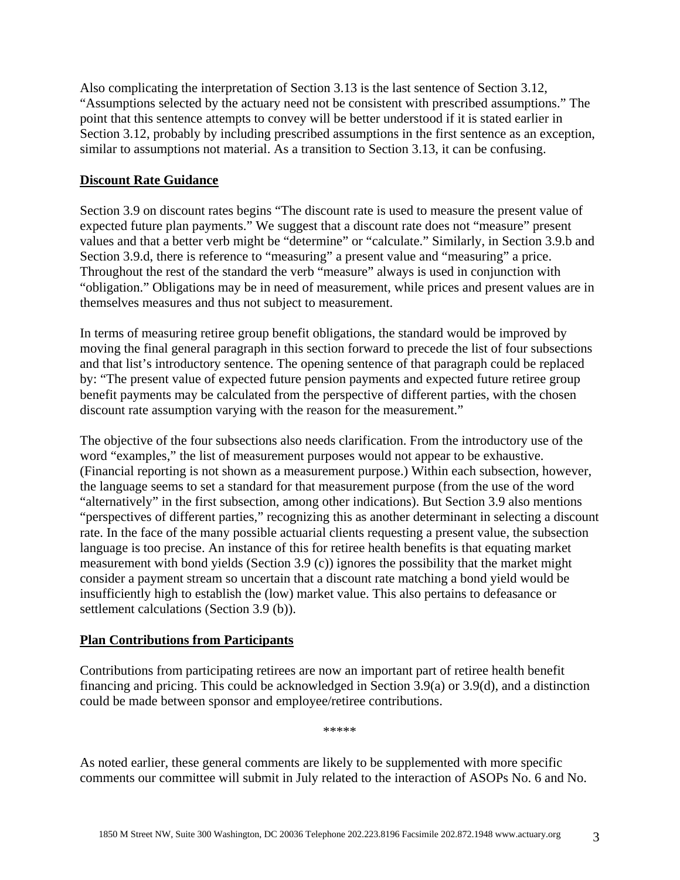Also complicating the interpretation of Section 3.13 is the last sentence of Section 3.12, "Assumptions selected by the actuary need not be consistent with prescribed assumptions." The point that this sentence attempts to convey will be better understood if it is stated earlier in Section 3.12, probably by including prescribed assumptions in the first sentence as an exception, similar to assumptions not material. As a transition to Section 3.13, it can be confusing.

## **Discount Rate Guidance**

Section 3.9 on discount rates begins "The discount rate is used to measure the present value of expected future plan payments." We suggest that a discount rate does not "measure" present values and that a better verb might be "determine" or "calculate." Similarly, in Section 3.9.b and Section 3.9.d, there is reference to "measuring" a present value and "measuring" a price. Throughout the rest of the standard the verb "measure" always is used in conjunction with "obligation." Obligations may be in need of measurement, while prices and present values are in themselves measures and thus not subject to measurement.

In terms of measuring retiree group benefit obligations, the standard would be improved by moving the final general paragraph in this section forward to precede the list of four subsections and that list's introductory sentence. The opening sentence of that paragraph could be replaced by: "The present value of expected future pension payments and expected future retiree group benefit payments may be calculated from the perspective of different parties, with the chosen discount rate assumption varying with the reason for the measurement."

The objective of the four subsections also needs clarification. From the introductory use of the word "examples," the list of measurement purposes would not appear to be exhaustive. (Financial reporting is not shown as a measurement purpose.) Within each subsection, however, the language seems to set a standard for that measurement purpose (from the use of the word "alternatively" in the first subsection, among other indications). But Section 3.9 also mentions "perspectives of different parties," recognizing this as another determinant in selecting a discount rate. In the face of the many possible actuarial clients requesting a present value, the subsection language is too precise. An instance of this for retiree health benefits is that equating market measurement with bond yields (Section 3.9 (c)) ignores the possibility that the market might consider a payment stream so uncertain that a discount rate matching a bond yield would be insufficiently high to establish the (low) market value. This also pertains to defeasance or settlement calculations (Section 3.9 (b)).

## **Plan Contributions from Participants**

Contributions from participating retirees are now an important part of retiree health benefit financing and pricing. This could be acknowledged in Section 3.9(a) or 3.9(d), and a distinction could be made between sponsor and employee/retiree contributions.

\*\*\*\*\*

As noted earlier, these general comments are likely to be supplemented with more specific comments our committee will submit in July related to the interaction of ASOPs No. 6 and No.